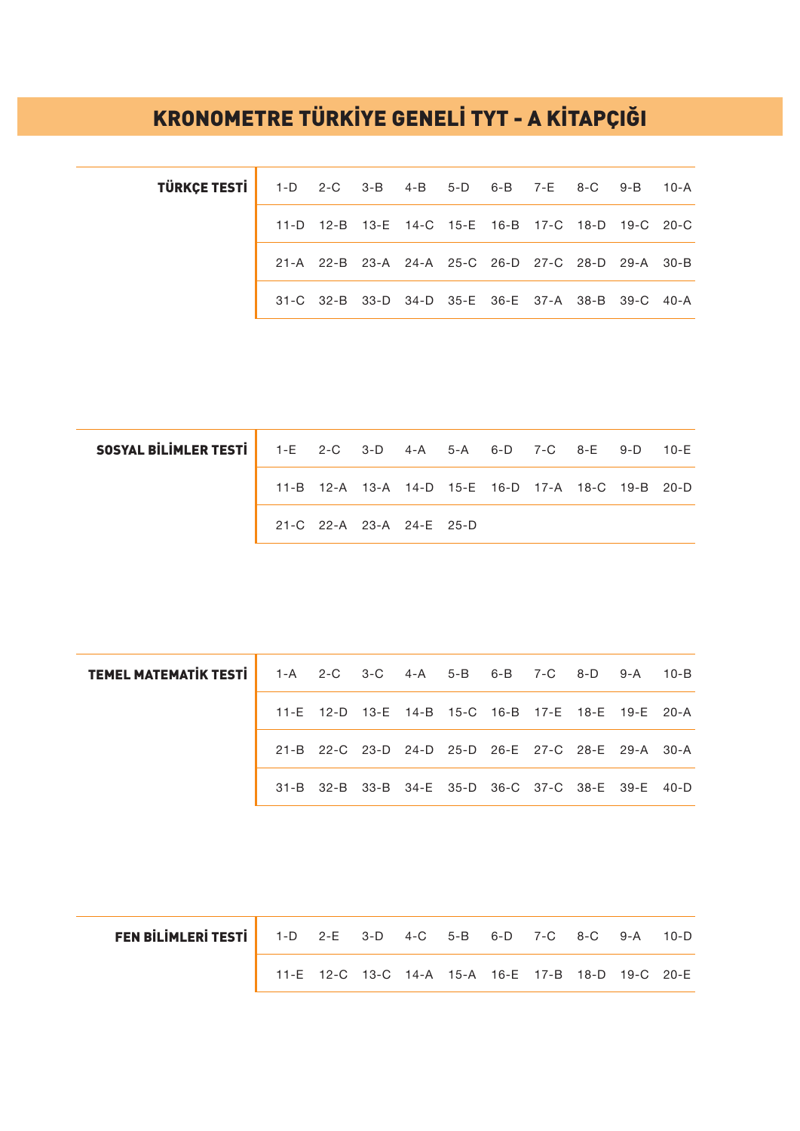## KRONOMETRE TÜRKİYE GENELİ TYT - A KİTAPÇIĞI

| TÜRKÇE TESTİ   1-D 2-C 3-B 4-B 5-D 6-B 7-E 8-C 9-B 10-A |  |  |  |  |                                                   |  |
|---------------------------------------------------------|--|--|--|--|---------------------------------------------------|--|
|                                                         |  |  |  |  | 11-D 12-B 13-E 14-C 15-E 16-B 17-C 18-D 19-C 20-C |  |
|                                                         |  |  |  |  | 21-A 22-B 23-A 24-A 25-C 26-D 27-C 28-D 29-A 30-B |  |
|                                                         |  |  |  |  | 31-C 32-B 33-D 34-D 35-E 36-E 37-A 38-B 39-C 40-A |  |

| <b>SOSYAL BILIMLER TESTI</b> 1-E 2-C 3-D 4-A 5-A 6-D 7-C 8-E 9-D 10-E |                          |  |  |  |                                                   |  |
|-----------------------------------------------------------------------|--------------------------|--|--|--|---------------------------------------------------|--|
|                                                                       |                          |  |  |  | 11-B 12-A 13-A 14-D 15-E 16-D 17-A 18-C 19-B 20-D |  |
|                                                                       | 21-C 22-A 23-A 24-E 25-D |  |  |  |                                                   |  |

| <b>TEMEL MATEMATIK TESTI</b> 1-A 2-C 3-C 4-A 5-B 6-B 7-C 8-D 9-A 10-B |  |  |  |  |                                                   |  |
|-----------------------------------------------------------------------|--|--|--|--|---------------------------------------------------|--|
|                                                                       |  |  |  |  | 11-E 12-D 13-E 14-B 15-C 16-B 17-E 18-E 19-E 20-A |  |
|                                                                       |  |  |  |  | 21-B 22-C 23-D 24-D 25-D 26-E 27-C 28-E 29-A 30-A |  |
|                                                                       |  |  |  |  | 31-B 32-B 33-B 34-E 35-D 36-C 37-C 38-E 39-E 40-D |  |

| FEN BILIMLERI TESTI   1-D 2-E 3-D 4-C 5-B 6-D 7-C 8-C 9-A 10-D |  |  |  |                                                   |  |
|----------------------------------------------------------------|--|--|--|---------------------------------------------------|--|
|                                                                |  |  |  | 11-E 12-C 13-C 14-A 15-A 16-E 17-B 18-D 19-C 20-E |  |